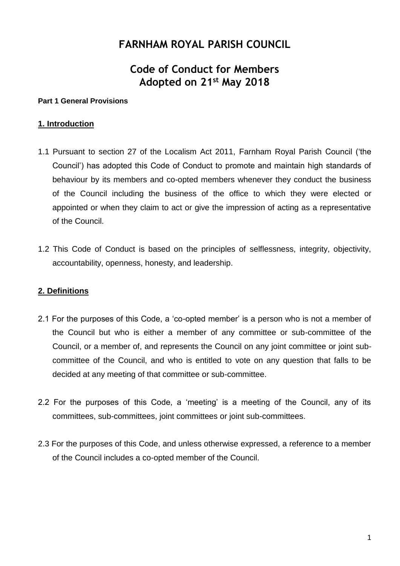# **FARNHAM ROYAL PARISH COUNCIL**

# **Code of Conduct for Members Adopted on 21st May 2018**

#### **Part 1 General Provisions**

#### **1. Introduction**

- 1.1 Pursuant to section 27 of the Localism Act 2011, Farnham Royal Parish Council ('the Council') has adopted this Code of Conduct to promote and maintain high standards of behaviour by its members and co-opted members whenever they conduct the business of the Council including the business of the office to which they were elected or appointed or when they claim to act or give the impression of acting as a representative of the Council.
- 1.2 This Code of Conduct is based on the principles of selflessness, integrity, objectivity, accountability, openness, honesty, and leadership.

## **2. Definitions**

- 2.1 For the purposes of this Code, a 'co-opted member' is a person who is not a member of the Council but who is either a member of any committee or sub-committee of the Council, or a member of, and represents the Council on any joint committee or joint subcommittee of the Council, and who is entitled to vote on any question that falls to be decided at any meeting of that committee or sub-committee.
- 2.2 For the purposes of this Code, a 'meeting' is a meeting of the Council, any of its committees, sub-committees, joint committees or joint sub-committees.
- 2.3 For the purposes of this Code, and unless otherwise expressed, a reference to a member of the Council includes a co-opted member of the Council.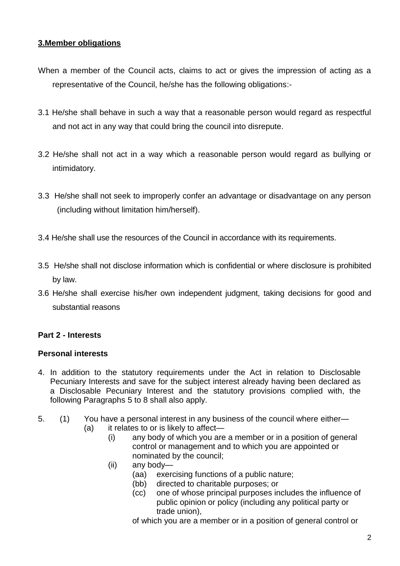## **3.Member obligations**

- When a member of the Council acts, claims to act or gives the impression of acting as a representative of the Council, he/she has the following obligations:-
- 3.1 He/she shall behave in such a way that a reasonable person would regard as respectful and not act in any way that could bring the council into disrepute.
- 3.2 He/she shall not act in a way which a reasonable person would regard as bullying or intimidatory.
- 3.3 He/she shall not seek to improperly confer an advantage or disadvantage on any person (including without limitation him/herself).
- 3.4 He/she shall use the resources of the Council in accordance with its requirements.
- 3.5 He/she shall not disclose information which is confidential or where disclosure is prohibited by law.
- 3.6 He/she shall exercise his/her own independent judgment, taking decisions for good and substantial reasons

## **Part 2 - Interests**

## **Personal interests**

- 4. In addition to the statutory requirements under the Act in relation to Disclosable Pecuniary Interests and save for the subject interest already having been declared as a Disclosable Pecuniary Interest and the statutory provisions complied with, the following Paragraphs 5 to 8 shall also apply.
- 5. (1) You have a personal interest in any business of the council where either—
	- (a) it relates to or is likely to affect—
		- (i) any body of which you are a member or in a position of general control or management and to which you are appointed or nominated by the council;
		- (ii) any body—
			- (aa) exercising functions of a public nature;
			- (bb) directed to charitable purposes; or
			- (cc) one of whose principal purposes includes the influence of public opinion or policy (including any political party or trade union),

of which you are a member or in a position of general control or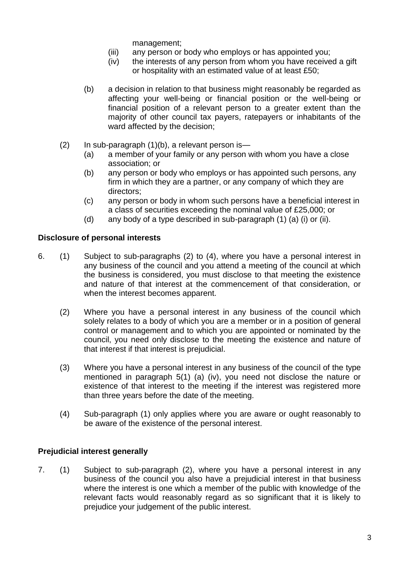management;

- (iii) any person or body who employs or has appointed you;
- (iv) the interests of any person from whom you have received a gift or hospitality with an estimated value of at least £50;
- (b) a decision in relation to that business might reasonably be regarded as affecting your well-being or financial position or the well-being or financial position of a relevant person to a greater extent than the majority of other council tax payers, ratepayers or inhabitants of the ward affected by the decision;
- $(2)$  In sub-paragraph  $(1)(b)$ , a relevant person is-
	- (a) a member of your family or any person with whom you have a close association; or
	- (b) any person or body who employs or has appointed such persons, any firm in which they are a partner, or any company of which they are directors;
	- (c) any person or body in whom such persons have a beneficial interest in a class of securities exceeding the nominal value of £25,000; or
	- (d) any body of a type described in sub-paragraph (1) (a) (i) or (ii).

## **Disclosure of personal interests**

- 6. (1) Subject to sub-paragraphs (2) to (4), where you have a personal interest in any business of the council and you attend a meeting of the council at which the business is considered, you must disclose to that meeting the existence and nature of that interest at the commencement of that consideration, or when the interest becomes apparent.
	- (2) Where you have a personal interest in any business of the council which solely relates to a body of which you are a member or in a position of general control or management and to which you are appointed or nominated by the council, you need only disclose to the meeting the existence and nature of that interest if that interest is prejudicial.
	- (3) Where you have a personal interest in any business of the council of the type mentioned in paragraph 5(1) (a) (iv), you need not disclose the nature or existence of that interest to the meeting if the interest was registered more than three years before the date of the meeting.
	- (4) Sub-paragraph (1) only applies where you are aware or ought reasonably to be aware of the existence of the personal interest.

## **Prejudicial interest generally**

7. (1) Subject to sub-paragraph (2), where you have a personal interest in any business of the council you also have a prejudicial interest in that business where the interest is one which a member of the public with knowledge of the relevant facts would reasonably regard as so significant that it is likely to prejudice your judgement of the public interest.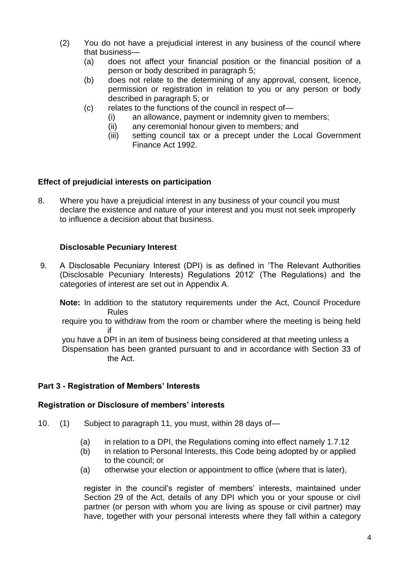- (2) You do not have a prejudicial interest in any business of the council where that business—
	- (a) does not affect your financial position or the financial position of a person or body described in paragraph 5;
	- (b) does not relate to the determining of any approval, consent, licence, permission or registration in relation to you or any person or body described in paragraph 5; or
	- (c) relates to the functions of the council in respect of—
		- (i) an allowance, payment or indemnity given to members;
		- (ii) any ceremonial honour given to members; and
		- (iii) setting council tax or a precept under the Local Government Finance Act 1992.

## **Effect of prejudicial interests on participation**

8. Where you have a prejudicial interest in any business of your council you must declare the existence and nature of your interest and you must not seek improperly to influence a decision about that business.

## **Disclosable Pecuniary Interest**

9. A Disclosable Pecuniary Interest (DPI) is as defined in 'The Relevant Authorities (Disclosable Pecuniary Interests) Regulations 2012' (The Regulations) and the categories of interest are set out in Appendix A.

**Note:** In addition to the statutory requirements under the Act, Council Procedure Rules

require you to withdraw from the room or chamber where the meeting is being held if

you have a DPI in an item of business being considered at that meeting unless a Dispensation has been granted pursuant to and in accordance with Section 33 of the Act.

#### **Part 3 - Registration of Members' Interests**

#### **Registration or Disclosure of members' interests**

- 10. (1) Subject to paragraph 11, you must, within 28 days of—
	- (a) in relation to a DPI, the Regulations coming into effect namely 1.7.12
	- (b) in relation to Personal Interests, this Code being adopted by or applied to the council; or
	- (a) otherwise your election or appointment to office (where that is later),

register in the council's register of members' interests, maintained under Section 29 of the Act, details of any DPI which you or your spouse or civil partner (or person with whom you are living as spouse or civil partner) may have, together with your personal interests where they fall within a category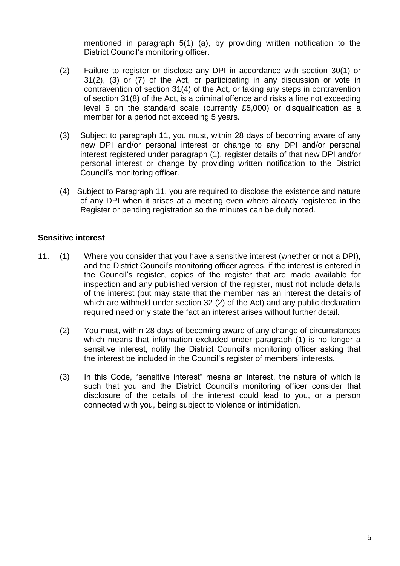mentioned in paragraph 5(1) (a), by providing written notification to the District Council's monitoring officer.

- (2) Failure to register or disclose any DPI in accordance with section 30(1) or 31(2), (3) or (7) of the Act, or participating in any discussion or vote in contravention of section 31(4) of the Act, or taking any steps in contravention of section 31(8) of the Act, is a criminal offence and risks a fine not exceeding level 5 on the standard scale (currently £5,000) or disqualification as a member for a period not exceeding 5 years.
- (3) Subject to paragraph 11, you must, within 28 days of becoming aware of any new DPI and/or personal interest or change to any DPI and/or personal interest registered under paragraph (1), register details of that new DPI and/or personal interest or change by providing written notification to the District Council's monitoring officer.
- (4) Subject to Paragraph 11, you are required to disclose the existence and nature of any DPI when it arises at a meeting even where already registered in the Register or pending registration so the minutes can be duly noted.

## **Sensitive interest**

- 11. (1) Where you consider that you have a sensitive interest (whether or not a DPI), and the District Council's monitoring officer agrees, if the interest is entered in the Council's register, copies of the register that are made available for inspection and any published version of the register, must not include details of the interest (but may state that the member has an interest the details of which are withheld under section 32 (2) of the Act) and any public declaration required need only state the fact an interest arises without further detail.
	- (2) You must, within 28 days of becoming aware of any change of circumstances which means that information excluded under paragraph (1) is no longer a sensitive interest, notify the District Council's monitoring officer asking that the interest be included in the Council's register of members' interests.
	- (3) In this Code, "sensitive interest" means an interest, the nature of which is such that you and the District Council's monitoring officer consider that disclosure of the details of the interest could lead to you, or a person connected with you, being subject to violence or intimidation.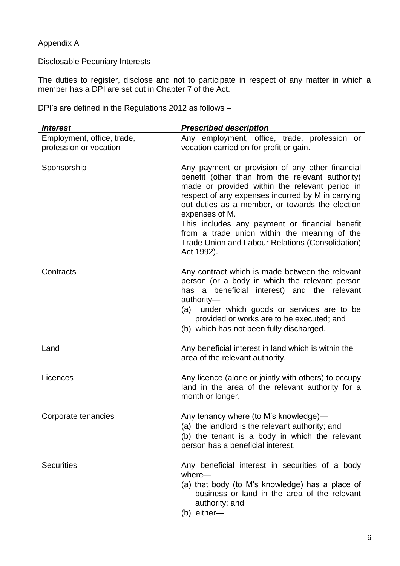## Appendix A

## Disclosable Pecuniary Interests

The duties to register, disclose and not to participate in respect of any matter in which a member has a DPI are set out in Chapter 7 of the Act.

DPI's are defined in the Regulations 2012 as follows –

| <b>Interest</b>            | <b>Prescribed description</b>                                                                                                                                                                                                                                                                                                                                                                                                                       |
|----------------------------|-----------------------------------------------------------------------------------------------------------------------------------------------------------------------------------------------------------------------------------------------------------------------------------------------------------------------------------------------------------------------------------------------------------------------------------------------------|
| Employment, office, trade, | Any employment, office, trade, profession or                                                                                                                                                                                                                                                                                                                                                                                                        |
| profession or vocation     | vocation carried on for profit or gain.                                                                                                                                                                                                                                                                                                                                                                                                             |
| Sponsorship                | Any payment or provision of any other financial<br>benefit (other than from the relevant authority)<br>made or provided within the relevant period in<br>respect of any expenses incurred by M in carrying<br>out duties as a member, or towards the election<br>expenses of M.<br>This includes any payment or financial benefit<br>from a trade union within the meaning of the<br>Trade Union and Labour Relations (Consolidation)<br>Act 1992). |
| Contracts                  | Any contract which is made between the relevant<br>person (or a body in which the relevant person<br>has a beneficial interest) and the relevant<br>authority-<br>(a) under which goods or services are to be<br>provided or works are to be executed; and<br>(b) which has not been fully discharged.                                                                                                                                              |
| Land                       | Any beneficial interest in land which is within the<br>area of the relevant authority.                                                                                                                                                                                                                                                                                                                                                              |
| Licences                   | Any licence (alone or jointly with others) to occupy<br>land in the area of the relevant authority for a<br>month or longer.                                                                                                                                                                                                                                                                                                                        |
| Corporate tenancies        | Any tenancy where (to M's knowledge)—<br>(a) the landlord is the relevant authority; and<br>(b) the tenant is a body in which the relevant<br>person has a beneficial interest.                                                                                                                                                                                                                                                                     |
| <b>Securities</b>          | Any beneficial interest in securities of a body<br>$where -$<br>(a) that body (to M's knowledge) has a place of<br>business or land in the area of the relevant<br>authority; and<br>(b) either-                                                                                                                                                                                                                                                    |